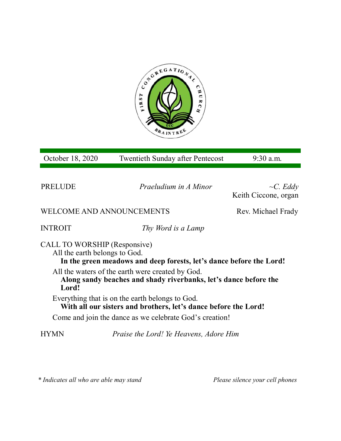

| October 18, 2020                                              | <b>Twentieth Sunday after Pentecost</b>                                                                              | 9:30 a.m.                              |  |
|---------------------------------------------------------------|----------------------------------------------------------------------------------------------------------------------|----------------------------------------|--|
| PRELUDE                                                       | Praeludium in A Minor                                                                                                | $\sim C. Eddy$<br>Keith Ciccone, organ |  |
| WELCOME AND ANNOUNCEMENTS                                     |                                                                                                                      | Rev. Michael Frady                     |  |
| <b>INTROIT</b>                                                | Thy Word is a Lamp                                                                                                   |                                        |  |
| CALL TO WORSHIP (Responsive)<br>All the earth belongs to God. | In the green meadows and deep forests, let's dance before the Lord!                                                  |                                        |  |
| Lord!                                                         | All the waters of the earth were created by God.<br>Along sandy beaches and shady riverbanks, let's dance before the |                                        |  |
|                                                               | Everything that is on the earth belongs to God.<br>With all our sisters and brothers, let's dance before the Lord!   |                                        |  |
|                                                               | Come and join the dance as we celebrate God's creation!                                                              |                                        |  |
| HYMN                                                          | <i>Praise the Lord! Ye Heavens, Adore Him</i>                                                                        |                                        |  |

*\* Indicates all who are able may stand Please silence your cell phones*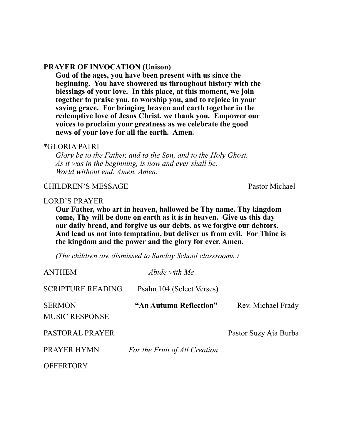#### **PRAYER OF INVOCATION (Unison)**

**God of the ages, you have been present with us since the beginning. You have showered us throughout history with the blessings of your love. In this place, at this moment, we join together to praise you, to worship you, and to rejoice in your saving grace. For bringing heaven and earth together in the redemptive love of Jesus Christ, we thank you. Empower our voices to proclaim your greatness as we celebrate the good news of your love for all the earth. Amen.**

#### \*GLORIA PATRI

*Glory be to the Father, and to the Son, and to the Holy Ghost. As it was in the beginning, is now and ever shall be. World without end. Amen. Amen.* 

### CHILDREN'S MESSAGE Pastor Michael

### LORD'S PRAYER

**Our Father, who art in heaven, hallowed be Thy name. Thy kingdom come, Thy will be done on earth as it is in heaven. Give us this day our daily bread, and forgive us our debts, as we forgive our debtors. And lead us not into temptation, but deliver us from evil. For Thine is the kingdom and the power and the glory for ever. Amen.**

*(The children are dismissed to Sunday School classrooms.)*

| <b>ANTHEM</b>                          | Abide with Me                 |                       |
|----------------------------------------|-------------------------------|-----------------------|
| <b>SCRIPTURE READING</b>               | Psalm 104 (Select Verses)     |                       |
| <b>SERMON</b><br><b>MUSIC RESPONSE</b> | "An Autumn Reflection"        | Rev. Michael Frady    |
| PASTORAL PRAYER                        |                               | Pastor Suzy Aja Burba |
| PRAYER HYMN                            | For the Fruit of All Creation |                       |
| <b>OFFERTORY</b>                       |                               |                       |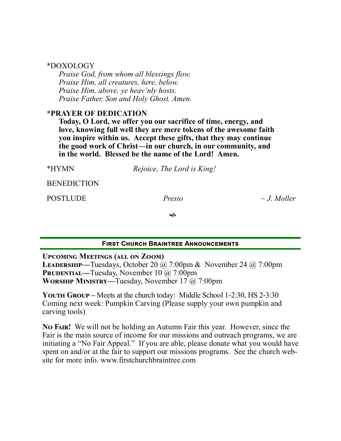| *DOXOLOGY |
|-----------|
|-----------|

*Praise God, from whom all blessings flow. Praise Him, all creatures, here, below. Praise Him, above, ye heav'nly hosts. Praise Father, Son and Holy Ghost. Amen.*

## **\*PRAYER OF DEDICATION**

**Today, O Lord, we offer you our sacrifice of time, energy, and love, knowing full well they are mere tokens of the awesome faith you inspire within us. Accept these gifts, that they may continue the good work of Christ—in our church, in our community, and in the world. Blessed be the name of the Lord! Amen.**

| *HYMN              | Rejoice, The Lord is King! |                  |
|--------------------|----------------------------|------------------|
| <b>BENEDICTION</b> |                            |                  |
| <b>POSTLUDE</b>    | Presto                     | $\sim$ J. Moller |
|                    | ีช                         |                  |
|                    |                            |                  |

# **First Church Braintree Announcements**

**Upcoming Meetings (all on Zoom)**

**Leadership—**Tuesdays, October 20 @ 7:00pm & November 24 @ 7:00pm **PRUDENTIAL—Tuesday, November 10 @ 7:00pm Worship Ministry—**Tuesday, November 17 @ 7:00pm

**YOUTH GROUP** – Meets at the church today: Middle School 1-2:30, HS 2-3:30 Coming next week: Pumpkin Carving (Please supply your own pumpkin and carving tools)

**No Fair!** We will not be holding an Autumn Fair this year. However, since the Fair is the main source of income for our missions and outreach programs, we are initiating a "No Fair Appeal." If you are able, please donate what you would have spent on and/or at the fair to support our missions programs. See the church website for more info. www.firstchurchbraintree.com